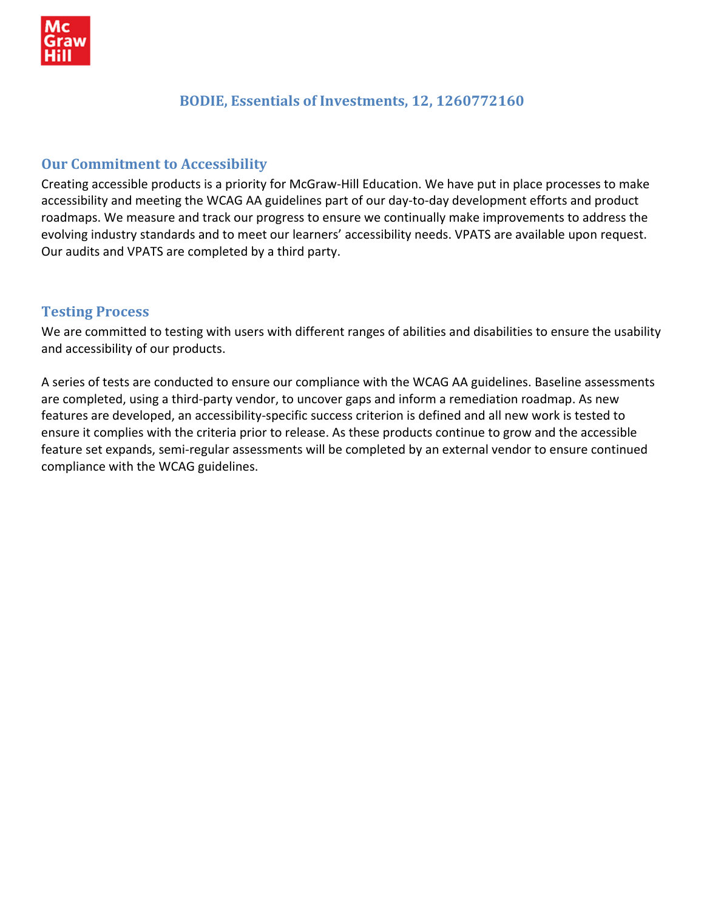

## **BODIE, Essentials of Investments, 12, 1260772160**

## **Our Commitment to Accessibility**

Creating accessible products is a priority for McGraw‐Hill Education. We have put in place processes to make accessibility and meeting the WCAG AA guidelines part of our day-to-day development efforts and product roadmaps. We measure and track our progress to ensure we continually make improvements to address the evolving industry standards and to meet our learners' accessibility needs. VPATS are available upon request. Our audits and VPATS are completed by a third party.

#### **Testing Process**

We are committed to testing with users with different ranges of abilities and disabilities to ensure the usability and accessibility of our products.

A series of tests are conducted to ensure our compliance with the WCAG AA guidelines. Baseline assessments are completed, using a third‐party vendor, to uncover gaps and inform a remediation roadmap. As new features are developed, an accessibility‐specific success criterion is defined and all new work is tested to ensure it complies with the criteria prior to release. As these products continue to grow and the accessible feature set expands, semi-regular assessments will be completed by an external vendor to ensure continued compliance with the WCAG guidelines.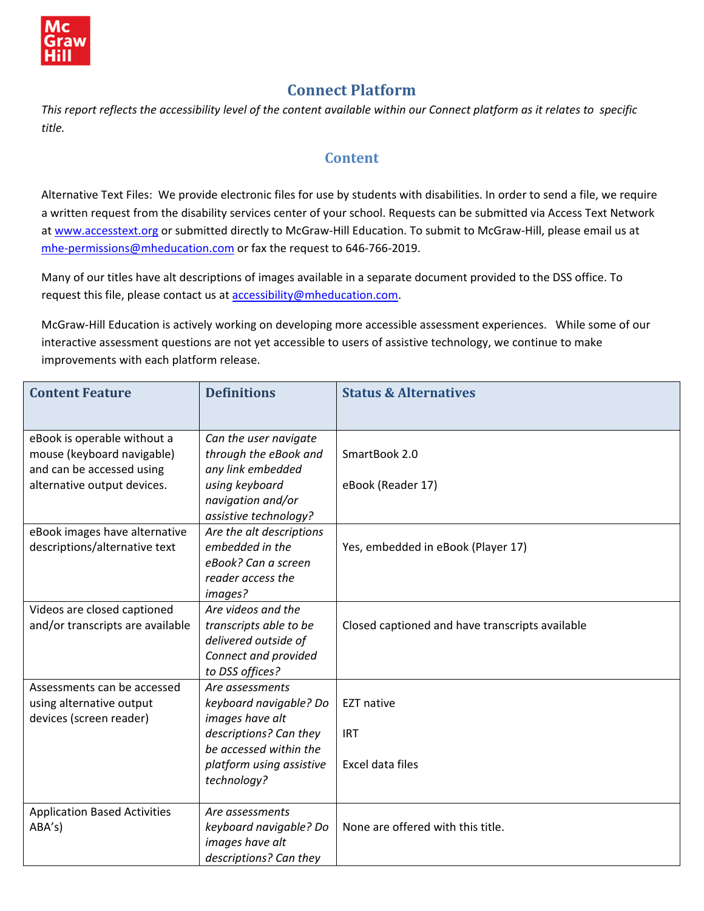

# **Connect Platform**

This report reflects the accessibility level of the content available within our Connect platform as it relates to specific *title.* 

## **Content**

Alternative Text Files: We provide electronic files for use by students with disabilities. In order to send a file, we require a written request from the disability services center of your school. Requests can be submitted via Access Text Network at [www.accesstext.org](http://www.accesstext.org/) or submitted directly to McGraw-Hill Education. To submit to McGraw-Hill, please email us at mhe-[permissions@mheducation.com](mailto:mhe-permissions@mheducation.com) or fax the request to 646-766-2019.

Many of our titles have alt descriptions of images available in a separate document provided to the DSS office. To request this file, please contact us at **[accessibility@mheducation.com](mailto:accessibility@mheducation.com).** 

McGraw‐Hill Education is actively working on developing more accessible assessment experiences. While some of our interactive assessment questions are not yet accessible to users of assistive technology, we continue to make improvements with each platform release.

| <b>Content Feature</b>              | <b>Definitions</b>                         | <b>Status &amp; Alternatives</b>                |
|-------------------------------------|--------------------------------------------|-------------------------------------------------|
|                                     |                                            |                                                 |
| eBook is operable without a         | Can the user navigate                      |                                                 |
| mouse (keyboard navigable)          | through the eBook and                      | SmartBook 2.0                                   |
| and can be accessed using           | any link embedded                          |                                                 |
| alternative output devices.         | using keyboard                             | eBook (Reader 17)                               |
|                                     | navigation and/or<br>assistive technology? |                                                 |
| eBook images have alternative       | Are the alt descriptions                   |                                                 |
| descriptions/alternative text       | embedded in the                            | Yes, embedded in eBook (Player 17)              |
|                                     | eBook? Can a screen                        |                                                 |
|                                     | reader access the                          |                                                 |
|                                     | images?                                    |                                                 |
| Videos are closed captioned         | Are videos and the                         |                                                 |
| and/or transcripts are available    | transcripts able to be                     | Closed captioned and have transcripts available |
|                                     | delivered outside of                       |                                                 |
|                                     | Connect and provided                       |                                                 |
|                                     | to DSS offices?                            |                                                 |
| Assessments can be accessed         | Are assessments                            |                                                 |
| using alternative output            | keyboard navigable? Do                     | <b>EZT native</b>                               |
| devices (screen reader)             | images have alt<br>descriptions? Can they  | <b>IRT</b>                                      |
|                                     | be accessed within the                     |                                                 |
|                                     | platform using assistive                   | Excel data files                                |
|                                     | technology?                                |                                                 |
|                                     |                                            |                                                 |
| <b>Application Based Activities</b> | Are assessments                            |                                                 |
| ABA's)                              | keyboard navigable? Do                     | None are offered with this title.               |
|                                     | images have alt                            |                                                 |
|                                     | descriptions? Can they                     |                                                 |